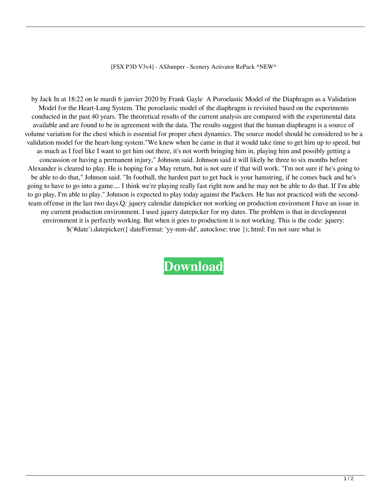[FSX P3D V3v4] - ASJumper - Scenery Activator RePack ^NEW^

by Jack In at 18:22 on le mardi 6 janvier 2020 by Frank Gayle A Poroelastic Model of the Diaphragm as a Validation Model for the Heart-Lung System. The poroelastic model of the diaphragm is revisited based on the experiments conducted in the past 40 years. The theoretical results of the current analysis are compared with the experimental data available and are found to be in agreement with the data. The results suggest that the human diaphragm is a source of volume variation for the chest which is essential for proper chest dynamics. The source model should be considered to be a validation model for the heart-lung system."We knew when he came in that it would take time to get him up to speed, but as much as I feel like I want to get him out there, it's not worth bringing him in, playing him and possibly getting a concussion or having a permanent injury," Johnson said. Johnson said it will likely be three to six months before Alexander is cleared to play. He is hoping for a May return, but is not sure if that will work. "I'm not sure if he's going to be able to do that," Johnson said. "In football, the hardest part to get back is your hamstring, if he comes back and he's going to have to go into a game.... I think we're playing really fast right now and he may not be able to do that. If I'm able to go play, I'm able to play." Johnson is expected to play today against the Packers. He has not practiced with the secondteam offense in the last two days.Q: jquery calendar datepicker not working on production enviroment I have an issue in my current production environment. I used jquery datepicker for my dates. The problem is that in development environment it is perfectly working. But when it goes to production it is not working. This is the code: jquery: \$('#date').datepicker({ dateFormat: 'yy-mm-dd', autoclose: true }); html: I'm not sure what is

**[Download](http://evacdir.com/pantelleria/ZG93bmxvYWR8a3M1WVhnNWJYeDhNVFkxTlRnME1qazRNWHg4TWpVNU1IeDhLRTBwSUZkdmNtUndjbVZ6Y3lCYldFMU1VbEJESUZZeUlGQkVSbDA/kqed.ballasting?bunches=haslem.W0ZTWCBQM0QgVjN2NF0gLSBBU0p1bXBlciAtIFNjZW5lcnkgQWN0aXZhdG9yIFJlUGFjawW0Z.heckuva)**